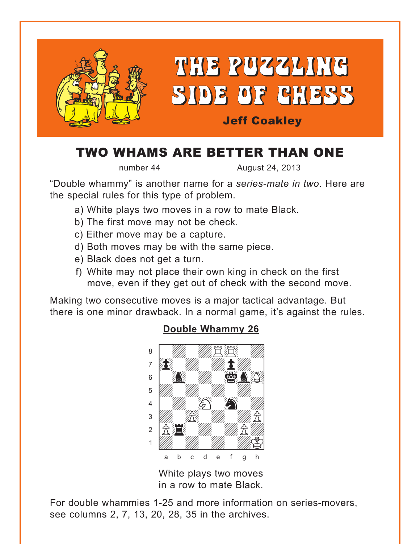<span id="page-0-0"></span>

# TWO WHAMS ARE BETTER THAN ONE

number 44 **August 24, 2013** 

"Double whammy" is another name for a *series-mate in two*. Here are the special rules for this type of problem.

- a) White plays two moves in a row to mate Black.
- b) The first move may not be check.
- c) Either move may be a capture.
- d) Both moves may be with the same piece.
- e) Black does not get a turn.
- f) White may not place their own king in check on the first move, even if they get out of check with the second move.

Making two consecutive moves is a major tactical advantage. But there is one minor drawback. In a normal game, it's against the rules.



# White plays two moves

in a row to mate Black.

For double whammies 1-25 and more information on series-movers, see columns 2, 7, 13, 20, 28, 35 in the archives.

### **[Double Whammy 26](#page-5-0)**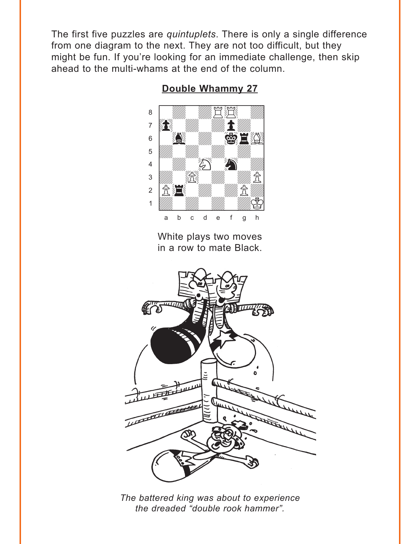<span id="page-1-0"></span>The first five puzzles are *quintuplets*. There is only a single difference from one diagram to the next. They are not too difficult, but they might be fun. If you're looking for an immediate challenge, then skip ahead to the multi-whams at the end of the column.



**[Double Whammy 27](#page-5-0)**

White plays two moves in a row to mate Black.



*The battered king was about to experience the dreaded "double rook hammer".*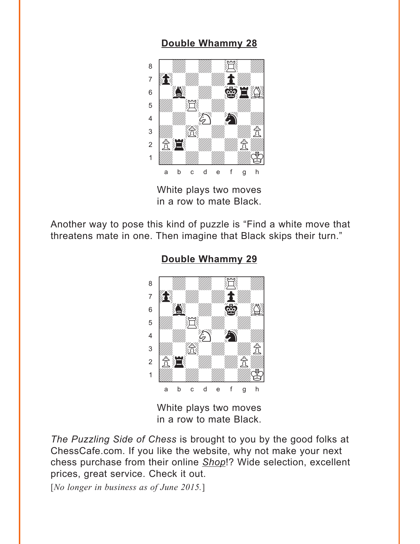<span id="page-2-0"></span>

White plays two moves in a row to mate Black.

Another way to pose this kind of puzzle is "Find a white move that threatens mate in one. Then imagine that Black skips their turn."



**[Double Whammy 29](#page-6-0)**

White plays two moves in a row to mate Black.

*The Puzzling Side of Chess* is brought to you by the good folks at ChessCafe.com. If you like the website, why not make your next chess purchase from their online *Shop*!? Wide selection, excellent prices, great service. Check it out.

[*No longer in business as of June 2015.*]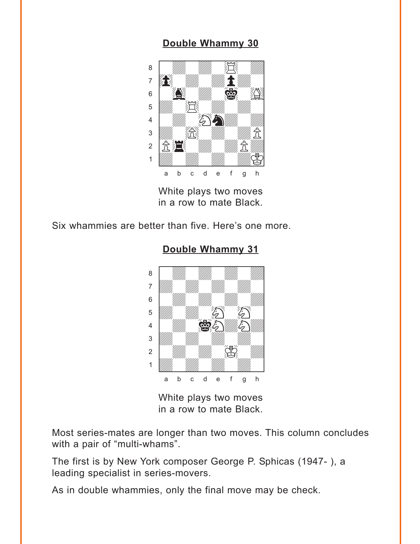<span id="page-3-0"></span>

White plays two moves in a row to mate Black.

Six whammies are better than five. Here's one more.

# where  $\frac{1}{2}$  and  $\frac{1}{2}$  and  $\frac{1}{2}$  and  $\frac{1}{2}$ a ya *mai wa* wakazi wa 1972, wakazi wa 1972, wakazi wa 1972, wakazi wa 1972, wakazi wa 1972, wakati wa 1972, wa àdwdwdwdw]  $\begin{bmatrix} 6 & 1 \end{bmatrix}$  with  $\begin{bmatrix} 1 & 1 \end{bmatrix}$  with  $\begin{bmatrix} 1 & 1 \end{bmatrix}$  $\overline{\mathcal{L}}$  $\begin{picture}(45,17) \put(0,0){\line(1,0){155}} \put(15,0){\line(1,0){155}} \put(15,0){\line(1,0){155}} \put(15,0){\line(1,0){155}} \put(15,0){\line(1,0){155}} \put(15,0){\line(1,0){155}} \put(15,0){\line(1,0){155}} \put(15,0){\line(1,0){155}} \put(15,0){\line(1,0){155}} \put(15,0){\line(1,0){155}} \put(15,0){\line(1,0){155}} \$  $\frac{1}{\sqrt{2}}$  $\sim$  2  $\sim$  400  $\sim$  5. 1 *Udwarddwrd William William Corporation Corporation Corporation Corporation Corporation Corporation Corporation* a b c d e f g h

**[Double Whammy 31](#page-7-0)**

White plays two moves in a row to mate Black.

Most series-mates are longer than two moves. This column concludes with a pair of "multi-whams".

The first is by New York composer George P. Sphicas (1947- ), a leading specialist in series-movers.

As in double whammies, only the final move may be check.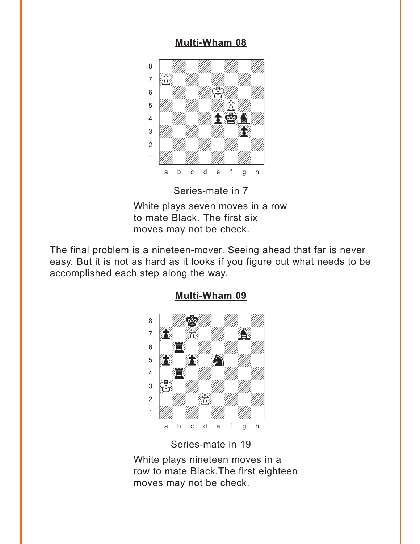### **[Multi-Wham 08](#page-8-0)**

<span id="page-4-0"></span>

Series-mate in 7

White plays seven moves in a row to mate Black. The first six moves may not be check.

The final problem is a nineteen-mover. Seeing ahead that far is never easy. But it is not as hard as it looks if you figure out what needs to be accomplished each step along the way.



### **[Multi-Wham 09](#page-9-0)**

Series-mate in 19

White plays nineteen moves in a row to mate Black.The first eighteen moves may not be check.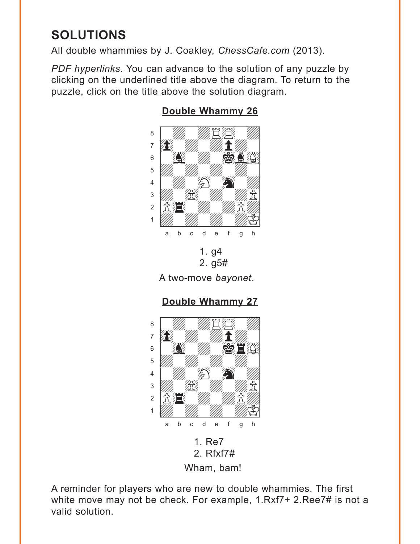# <span id="page-5-0"></span>**SOLUTIONS**

All double whammies by J. Coakley, *ChessCafe.com* (2013).

*PDF hyperlinks*. You can advance to the solution of any puzzle by clicking on the underlined title above the diagram. To return to the puzzle, click on the title above the solution diagram.



## **[Double Whammy 26](#page-0-0)**

1. g4 2. g5#

A two-move *bayonet*.

# **[Double Whammy 27](#page-1-0)**



A reminder for players who are new to double whammies. The first white move may not be check. For example, 1.Rxf7+ 2.Ree7# is not a valid solution.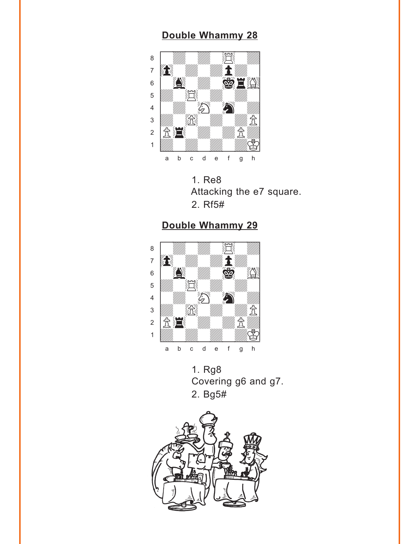<span id="page-6-0"></span>

1. Re8 Attacking the e7 square. 2. Rf5#

# **[Double Whammy 29](#page-2-0)**



1. Rg8 Covering g6 and g7. 2. Bg5#

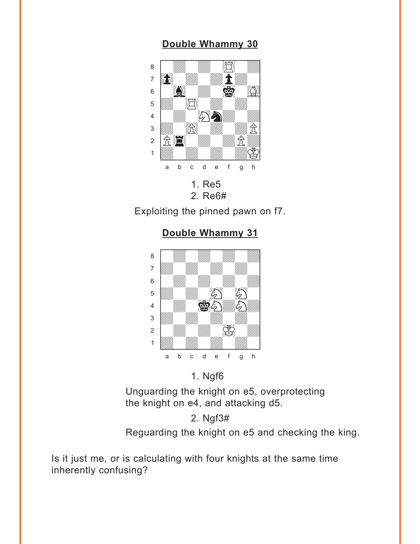<span id="page-7-0"></span>

Exploiting the pinned pawn on f7.

**[Double Whammy 31](#page-3-0)**



### 1. Ngf6

Unguarding the knight on e5, overprotecting the knight on e4, and attacking d5.

2. Ngf3#

Reguarding the knight on e5 and checking the king.

Is it just me, or is calculating with four knights at the same time inherently confusing?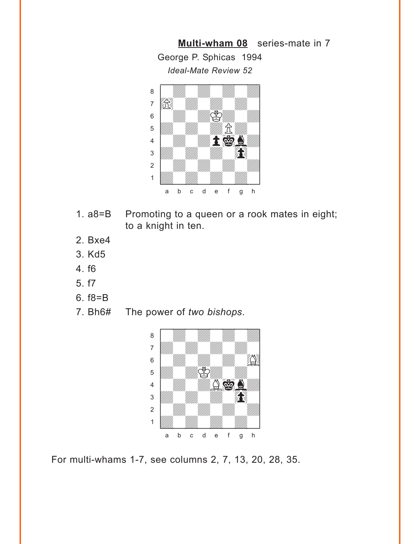<span id="page-8-0"></span>**[Multi-wham 08](#page-4-0)** series-mate in 7 George P. Sphicas 1994 *Ideal-Mate Review 52*



- 1. a8=B Promoting to a queen or a rook mates in eight; to a knight in ten.
- 2. Bxe4
- 3. Kd5
- 4. f6
- 5. f7
- 6. f8=B
- 7. Bh6# The power of *two bishops*.



For multi-whams 1-7, see columns 2, 7, 13, 20, 28, 35.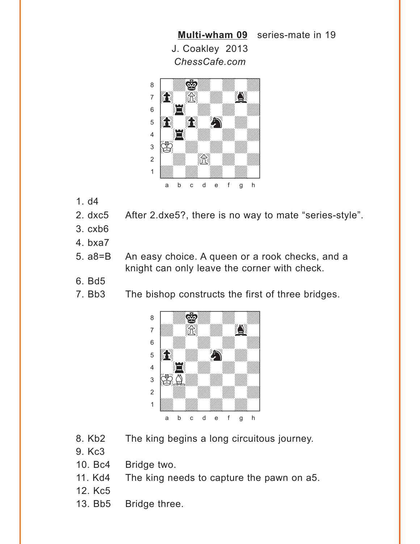<span id="page-9-0"></span>



- 1. d4
- 2. dxc5 After 2.dxe5?, there is no way to mate "series-style".
- 3. cxb6
- 4. bxa7
- 5. a8=B An easy choice. A queen or a rook checks, and a knight can only leave the corner with check.
- 6. Bd5
- 7. Bb3 The bishop constructs the first of three bridges.



- 8. Kb2 The king begins a long circuitous journey.
- 9. Kc3
- 10. Bc4 Bridge two.
- 11. Kd4 The king needs to capture the pawn on a5.
- 12. Kc5
- 13. Bb5 Bridge three.